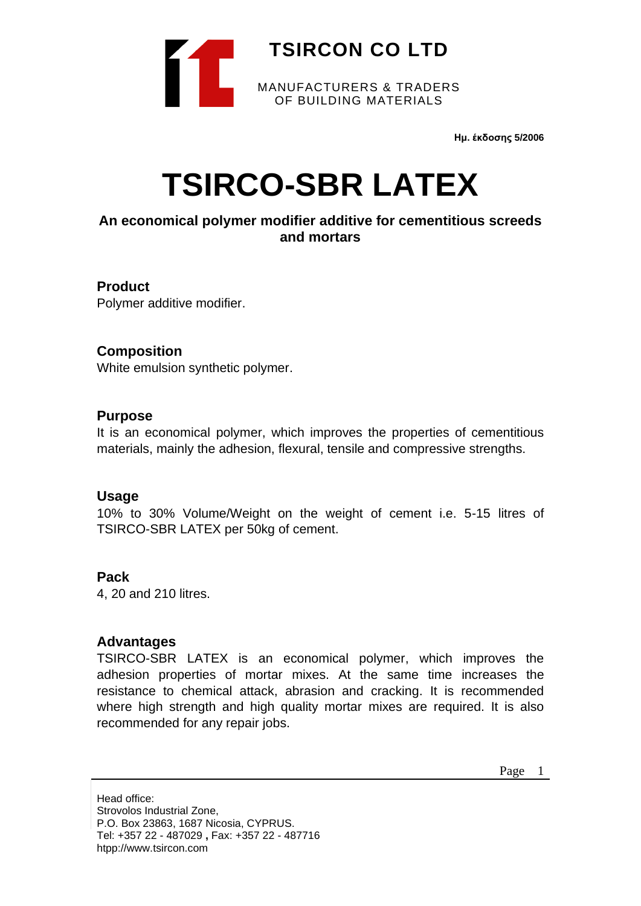

**Ημ. έκδοσης 5/2006**

# **TSIRCO-SBR LATEX**

# **An economical polymer modifier additive for cementitious screeds and mortars**

#### **Product**

Polymer additive modifier.

#### **Composition**

White emulsion synthetic polymer.

#### **Purpose**

It is an economical polymer, which improves the properties of cementitious materials, mainly the adhesion, flexural, tensile and compressive strengths.

#### **Usage**

10% to 30% Volume/Weight on the weight of cement i.e. 5-15 litres of TSIRCO-SBR LATEX per 50kg of cement.

#### **Pack**

4, 20 and 210 litres.

#### **Advantages**

TSIRCO-SBR LATEX is an economical polymer, which improves the adhesion properties of mortar mixes. At the same time increases the resistance to chemical attack, abrasion and cracking. It is recommended where high strength and high quality mortar mixes are required. It is also recommended for any repair jobs.

Page 1

Head office: Strovolos Industrial Zone, P.O. Box 23863, 1687 Nicosia, CYPRUS. Tel: +357 22 - 487029 **,** Fax: +357 22 - 487716 htpp://www.tsircon.com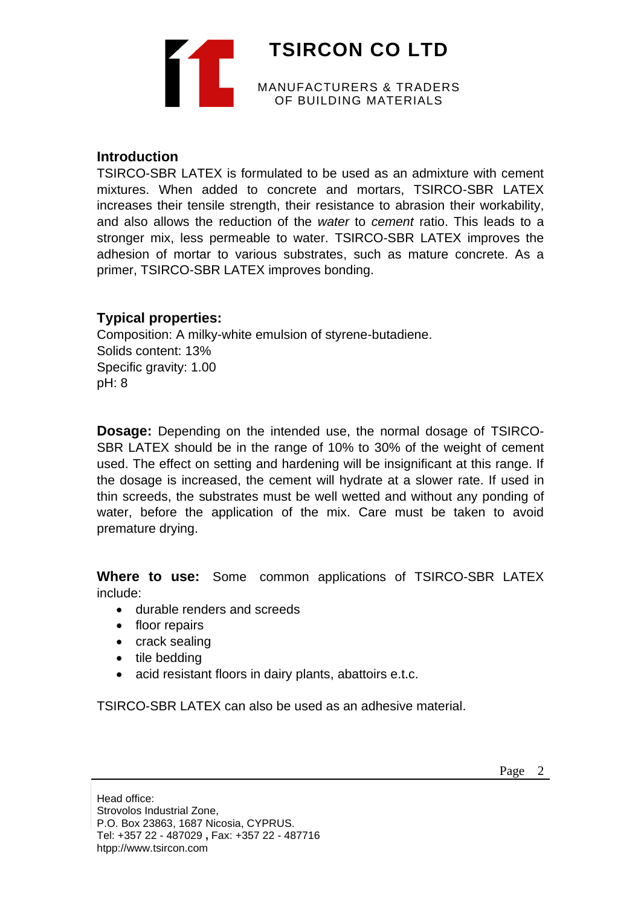

#### **Introduction**

TSIRCO-SBR LATEX is formulated to be used as an admixture with cement mixtures. When added to concrete and mortars, TSIRCO-SBR LATEX increases their tensile strength, their resistance to abrasion their workability, and also allows the reduction of the *water* to *cement* ratio. This leads to a stronger mix, less permeable to water. TSIRCO-SBR LATEX improves the adhesion of mortar to various substrates, such as mature concrete. As a primer, TSIRCO-SBR LATEX improves bonding.

## **Typical properties:**

Composition: A milky-white emulsion of styrene-butadiene. Solids content: 13% Specific gravity: 1.00 pH: 8

**Dosage:** Depending on the intended use, the normal dosage of TSIRCO-SBR LATEX should be in the range of 10% to 30% of the weight of cement used. The effect on setting and hardening will be insignificant at this range. If the dosage is increased, the cement will hydrate at a slower rate. If used in thin screeds, the substrates must be well wetted and without any ponding of water, before the application of the mix. Care must be taken to avoid premature drying.

**Where to use:** Some common applications of TSIRCO-SBR LATEX include:

- durable renders and screeds
- floor repairs
- crack sealing
- tile bedding
- acid resistant floors in dairy plants, abattoirs e.t.c.

TSIRCO-SBR LATEX can also be used as an adhesive material.

Head office: Strovolos Industrial Zone, P.O. Box 23863, 1687 Nicosia, CYPRUS. Tel: +357 22 - 487029 **,** Fax: +357 22 - 487716 htpp://www.tsircon.com

Page 2